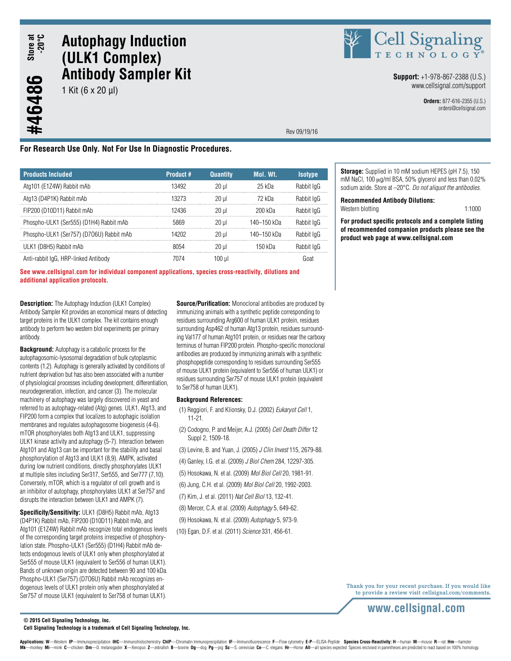#46486

# **Autophagy Induction (ULK1 Complex) Antibody Sampler Kit**

1 Kit (6 x 20 µl)



**Support:** +1-978-867-2388 (U.S.) www.cellsignal.com/support

> **Orders:** 877-616-2355 (U.S.) orders@cellsignal.com

Rev 09/19/16

## **For Research Use Only. Not For Use In Diagnostic Procedures.**

| <b>Products Included</b>                 | Product # | <b>Quantity</b> | Mol. Wt.    | <b>Isotype</b> |
|------------------------------------------|-----------|-----------------|-------------|----------------|
| Atg101 (E1Z4W) Rabbit mAb                | 13492     | 20 ul           | 25 kDa      | Rabbit IgG     |
| Atg13 (D4P1K) Rabbit mAb                 | 13273     | 20 ul           | 72 kDa      | Rabbit IgG     |
| FIP200 (D10D11) Rabbit mAb               | 12436     | 20 ul           | 200 kDa     | Rabbit loG     |
| Phospho-ULK1 (Ser555) (D1H4) Rabbit mAb  | 5869      | 20 ul           | 140–150 kDa | Rabbit loG     |
| Phospho-ULK1 (Ser757) (D706U) Rabbit mAb | 14202     | $20 \mu$        | 140–150 kDa | Rabbit IgG     |
| ULK1 (D8H5) Rabbit mAb                   | 8054      | 20 ul           | 150 kDa     | Rabbit IgG     |
| Anti-rabbit IgG, HRP-linked Antibody     |           |                 |             | Goat           |

**See www.cellsignal.com for individual component applications, species cross-reactivity, dilutions and additional application protocols.**

**Description:** The Autophagy Induction (ULK1 Complex) Antibody Sampler Kit provides an economical means of detecting target proteins in the ULK1 complex. The kit contains enough antibody to perform two western blot experiments per primary antibody.

**Background:** Autophagy is a catabolic process for the autophagosomic-lysosomal degradation of bulk cytoplasmic contents (1,2). Autophagy is generally activated by conditions of nutrient deprivation but has also been associated with a number of physiological processes including development, differentiation, neurodegeneration, infection, and cancer (3). The molecular machinery of autophagy was largely discovered in yeast and referred to as autophagy-related (Atg) genes. ULK1, Atg13, and FIP200 form a complex that localizes to autophagic isolation membranes and regulates autophagosome biogenesis (4-6). mTOR phosphorylates both Atg13 and ULK1, suppressing ULK1 kinase activity and autophagy (5-7). Interaction between Atg101 and Atg13 can be important for the stability and basal phosphorylation of Atg13 and ULK1 (8,9). AMPK, activated during low nutrient conditions, directly phosphorylates ULK1 at multiple sites including Ser317, Ser555, and Ser777 (7,10). Conversely, mTOR, which is a regulator of cell growth and is an inhibitor of autophagy, phosphorylates ULK1 at Ser757 and disrupts the interaction between ULK1 and AMPK (7).

**Specificity/Sensitivity:** ULK1 (D8H5) Rabbit mAb, Atg13 (D4P1K) Rabbit mAb, FIP200 (D10D11) Rabbit mAb, and Atg101 (E1Z4W) Rabbit mAb recognize total endogenous levels of the corresponding target proteins irrespective of phosphorylation state. Phospho-ULK1 (Ser555) (D1H4) Rabbit mAb detects endogenous levels of ULK1 only when phosphorylated at Ser555 of mouse ULK1 (equivalent to Ser556 of human ULK1). Bands of unknown origin are detected between 90 and 100 kDa. Phospho-ULK1 (Ser757) (D7O6U) Rabbit mAb recognizes endogenous levels of ULK1 protein only when phosphorylated at Ser757 of mouse ULK1 (equivalent to Ser758 of human ULK1).

**Source/Purification:** Monoclonal antibodies are produced by immunizing animals with a synthetic peptide corresponding to residues surrounding Arg600 of human ULK1 protein, residues surrounding Asp462 of human Atg13 protein, residues surrounding Val177 of human Atg101 protein, or residues near the carboxy terminus of human FIP200 protein. Phospho-specific monoclonal antibodies are produced by immunizing animals with a synthetic phosphopeptide corresponding to residues surrounding Ser555 of mouse ULK1 protein (equivalent to Ser556 of human ULK1) or residues surrounding Ser757 of mouse ULK1 protein (equivalent to Ser758 of human ULK1).

#### **Background References:**

- (1) Reggiori, F. and Klionsky, D.J. (2002) *Eukaryot Cell* 1, 11-21.
- (2) Codogno, P. and Meijer, A.J. (2005) *Cell Death Differ* 12 Suppl 2, 1509-18.
- (3) Levine, B. and Yuan, J. (2005) *J Clin Invest* 115, 2679-88.
- (4) Ganley, I.G. et al. (2009) *J Biol Chem* 284, 12297-305.
- (5) Hosokawa, N. et al. (2009) *Mol Biol Cell* 20, 1981-91.
- (6) Jung, C.H. et al. (2009) *Mol Biol Cell* 20, 1992-2003.
- (7) Kim, J. et al. (2011) *Nat Cell Biol* 13, 132-41.
- (8) Mercer, C.A. et al. (2009) *Autophagy* 5, 649-62.
- (9) Hosokawa, N. et al. (2009) *Autophagy* 5, 973-9.
	- (10) Egan, D.F. et al. (2011) *Science* 331, 456-61.

**Storage:** Supplied in 10 mM sodium HEPES (pH 7.5), 150 mM NaCl, 100 µg/ml BSA, 50% glycerol and less than 0.02% sodium azide. Store at –20°C. *Do not aliquot the antibodies.*

#### **Recommended Antibody Dilutions:**

Western blotting 1:1000

**For product specific protocols and a complete listing of recommended companion products please see the product web page at www.cellsignal.com**

Thank you for your recent purchase. If you would like to provide a review visit cellsignal.com/comments.

# **www.cellsignal.com**

**© 2015 Cell Signaling Technology, Inc.**

**Cell Signaling Technology is a trademark of Cell Signaling Technology, Inc.**

Applications: W-Western IP-Immunoprecipitation IHC-Immunohistochemistry ChIP-Chromatin Immunoprecipitation IF-Immunofluorescence F-Flow cytometry E-P-ELISA-Peptide Species Cross-Reactivity: H-human M-mouse R-rat Hm-hamster Mk-monkey Mi-mink C-chicken Dm-D. melanogaster X-Xenopus Z-zebrafish B-bovine Dg-dog Pg-pig Sc-S. cerevisiae Ce-C. elegans Hr-Horse All-all species expected Species enclosed in parentheses are predicted to react based on 1